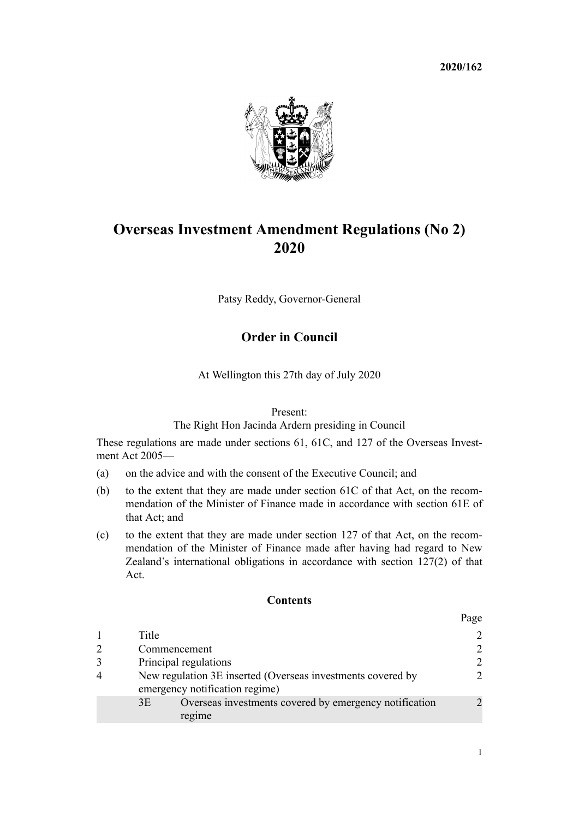

# **Overseas Investment Amendment Regulations (No 2) 2020**

Patsy Reddy, Governor-General

# **Order in Council**

At Wellington this 27th day of July 2020

#### Present:

The Right Hon Jacinda Ardern presiding in Council

These regulations are made under [sections 61,](http://legislation.govt.nz/pdflink.aspx?id=DLM358084) [61C](http://legislation.govt.nz/pdflink.aspx?id=LMS112018), and [127](http://legislation.govt.nz/pdflink.aspx?id=LMS359910) of the [Overseas Invest](http://legislation.govt.nz/pdflink.aspx?id=DLM356880)[ment Act 2005—](http://legislation.govt.nz/pdflink.aspx?id=DLM356880)

- (a) on the advice and with the consent of the Executive Council; and
- (b) to the extent that they are made under [section 61C](http://legislation.govt.nz/pdflink.aspx?id=LMS112018) of that Act, on the recommendation of the Minister of Finance made in accordance with [section 61E](http://legislation.govt.nz/pdflink.aspx?id=LMS112020) of that Act; and
- (c) to the extent that they are made under [section 127](http://legislation.govt.nz/pdflink.aspx?id=LMS359910) of that Act, on the recommendation of the Minister of Finance made after having had regard to New Zealand's international obligations in accordance with section 127(2) of that Act.

#### **Contents**

|   |                                                                                               | Page |
|---|-----------------------------------------------------------------------------------------------|------|
|   | Title                                                                                         | 2    |
| 2 | Commencement                                                                                  | 2    |
| 3 | Principal regulations                                                                         | 2    |
| 4 | New regulation 3E inserted (Overseas investments covered by<br>emergency notification regime) |      |
|   | Overseas investments covered by emergency notification<br>3E<br>regime                        |      |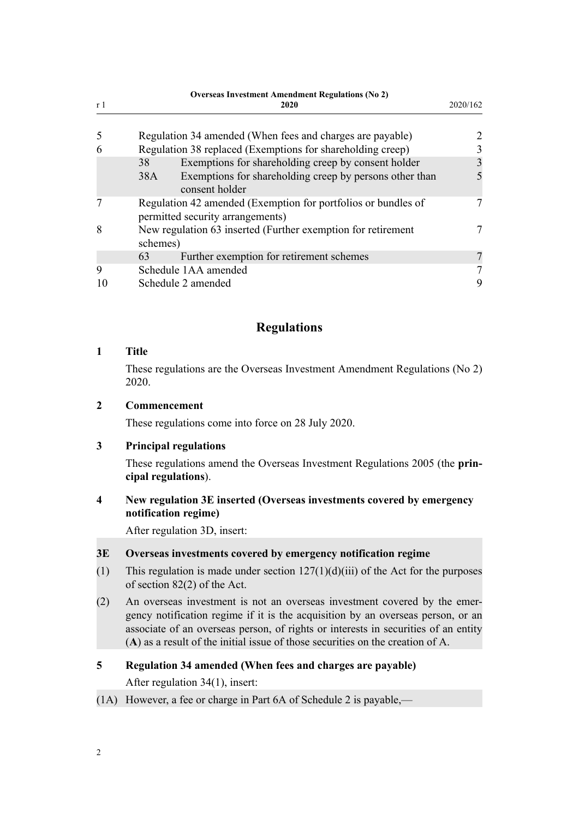<span id="page-1-0"></span>

| r <sub>1</sub> | <b>Overseas Investment Amendment Regulations (No 2)</b><br>2020                                   | 2020/162       |
|----------------|---------------------------------------------------------------------------------------------------|----------------|
|                |                                                                                                   |                |
| 5              | Regulation 34 amended (When fees and charges are payable)                                         | $\overline{2}$ |
| 6              | Regulation 38 replaced (Exemptions for shareholding creep)                                        |                |
|                | Exemptions for shareholding creep by consent holder<br>38                                         | 3              |
|                | Exemptions for shareholding creep by persons other than<br>38A<br>consent holder                  |                |
|                | Regulation 42 amended (Exemption for portfolios or bundles of<br>permitted security arrangements) |                |
| 8              | New regulation 63 inserted (Further exemption for retirement<br>schemes)                          | 7              |
|                | Further exemption for retirement schemes<br>63                                                    |                |
| 9              | Schedule 1AA amended                                                                              |                |
|                | Schedule 2 amended                                                                                | 9              |

## **Regulations**

#### **1 Title**

These regulations are the Overseas Investment Amendment Regulations (No 2) 2020.

#### **2 Commencement**

These regulations come into force on 28 July 2020.

#### **3 Principal regulations**

These regulations amend the [Overseas Investment Regulations 2005](http://legislation.govt.nz/pdflink.aspx?id=DLM341365) (the **principal regulations**).

## **4 New regulation 3E inserted (Overseas investments covered by emergency notification regime)**

After [regulation 3D,](http://legislation.govt.nz/pdflink.aspx?id=LMS357397) insert:

#### **3E Overseas investments covered by emergency notification regime**

- (1) This regulation is made under section  $127(1)(d)(iii)$  of the Act for the purposes of section 82(2) of the Act.
- (2) An overseas investment is not an overseas investment covered by the emergency notification regime if it is the acquisition by an overseas person, or an associate of an overseas person, of rights or interests in securities of an entity (**A**) as a result of the initial issue of those securities on the creation of A.

## **5 Regulation 34 amended (When fees and charges are payable)**

After [regulation 34\(1\),](http://legislation.govt.nz/pdflink.aspx?id=DLM341939) insert:

(1A) However, a fee or charge in Part 6A of Schedule 2 is payable,—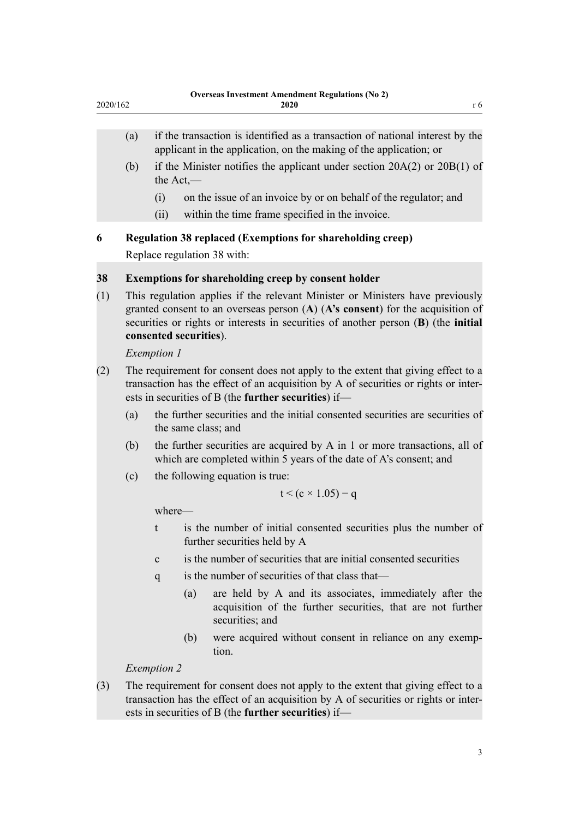- <span id="page-2-0"></span>(a) if the transaction is identified as a transaction of national interest by the applicant in the application, on the making of the application; or
- (b) if the Minister notifies the applicant under section 20A(2) or 20B(1) of the Act,—
	- (i) on the issue of an invoice by or on behalf of the regulator; and
	- (ii) within the time frame specified in the invoice.

**6 Regulation 38 replaced (Exemptions for shareholding creep)**

Replace [regulation 38](http://legislation.govt.nz/pdflink.aspx?id=LMS109658) with:

## **38 Exemptions for shareholding creep by consent holder**

(1) This regulation applies if the relevant Minister or Ministers have previously granted consent to an overseas person (**A**) (**A's consent**) for the acquisition of securities or rights or interests in securities of another person (**B**) (the **initial consented securities**).

*Exemption 1*

- (2) The requirement for consent does not apply to the extent that giving effect to a transaction has the effect of an acquisition by A of securities or rights or interests in securities of B (the **further securities**) if—
	- (a) the further securities and the initial consented securities are securities of the same class; and
	- (b) the further securities are acquired by A in 1 or more transactions, all of which are completed within 5 years of the date of A's consent; and
	- (c) the following equation is true:

$$
t < (c \times 1.05) - q
$$

where—

- t is the number of initial consented securities plus the number of further securities held by A
- c is the number of securities that are initial consented securities
- q is the number of securities of that class that—
	- (a) are held by A and its associates, immediately after the acquisition of the further securities, that are not further securities; and
	- (b) were acquired without consent in reliance on any exemption.

## *Exemption 2*

(3) The requirement for consent does not apply to the extent that giving effect to a transaction has the effect of an acquisition by A of securities or rights or interests in securities of B (the **further securities**) if—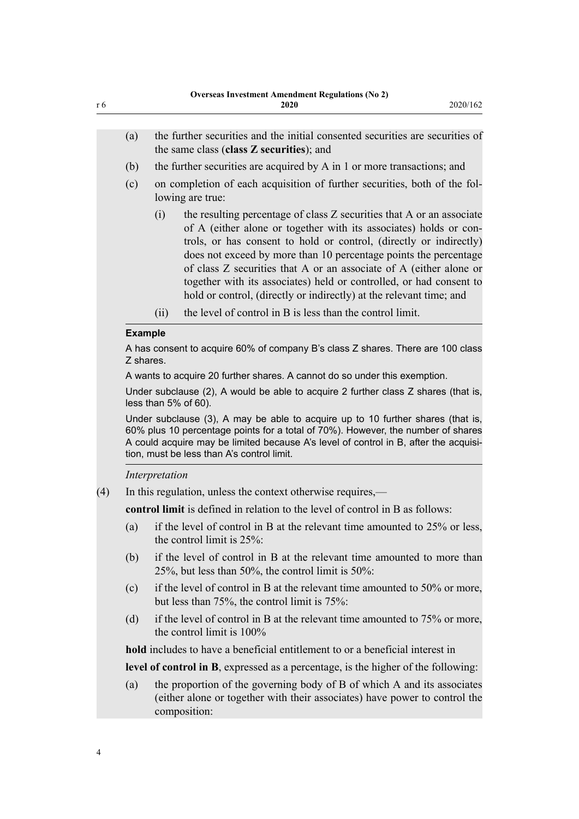| r 6                                                                                          |                                                                                                                                                                                                                                                                                                           | <b>Overseas Investment Amendment Regulations (No 2)</b><br>2020<br>2020/162                                                                                                                                                                                                                                                                                                                                                                                                                                     |  |  |
|----------------------------------------------------------------------------------------------|-----------------------------------------------------------------------------------------------------------------------------------------------------------------------------------------------------------------------------------------------------------------------------------------------------------|-----------------------------------------------------------------------------------------------------------------------------------------------------------------------------------------------------------------------------------------------------------------------------------------------------------------------------------------------------------------------------------------------------------------------------------------------------------------------------------------------------------------|--|--|
|                                                                                              | (a)                                                                                                                                                                                                                                                                                                       | the further securities and the initial consented securities are securities of<br>the same class (class Z securities); and                                                                                                                                                                                                                                                                                                                                                                                       |  |  |
|                                                                                              | (b)                                                                                                                                                                                                                                                                                                       | the further securities are acquired by A in 1 or more transactions; and                                                                                                                                                                                                                                                                                                                                                                                                                                         |  |  |
|                                                                                              | (c)                                                                                                                                                                                                                                                                                                       | on completion of each acquisition of further securities, both of the fol-<br>lowing are true:                                                                                                                                                                                                                                                                                                                                                                                                                   |  |  |
|                                                                                              |                                                                                                                                                                                                                                                                                                           | (i)<br>the resulting percentage of class Z securities that A or an associate<br>of A (either alone or together with its associates) holds or con-<br>trols, or has consent to hold or control, (directly or indirectly)<br>does not exceed by more than 10 percentage points the percentage<br>of class Z securities that A or an associate of A (either alone or<br>together with its associates) held or controlled, or had consent to<br>hold or control, (directly or indirectly) at the relevant time; and |  |  |
|                                                                                              |                                                                                                                                                                                                                                                                                                           | the level of control in B is less than the control limit.<br>(ii)                                                                                                                                                                                                                                                                                                                                                                                                                                               |  |  |
|                                                                                              | <b>Example</b>                                                                                                                                                                                                                                                                                            |                                                                                                                                                                                                                                                                                                                                                                                                                                                                                                                 |  |  |
| A has consent to acquire 60% of company B's class Z shares. There are 100 class<br>Z shares. |                                                                                                                                                                                                                                                                                                           |                                                                                                                                                                                                                                                                                                                                                                                                                                                                                                                 |  |  |
|                                                                                              |                                                                                                                                                                                                                                                                                                           | A wants to acquire 20 further shares. A cannot do so under this exemption.                                                                                                                                                                                                                                                                                                                                                                                                                                      |  |  |
|                                                                                              |                                                                                                                                                                                                                                                                                                           | Under subclause (2), A would be able to acquire 2 further class Z shares (that is,<br>less than 5% of 60).                                                                                                                                                                                                                                                                                                                                                                                                      |  |  |
|                                                                                              | Under subclause (3), A may be able to acquire up to 10 further shares (that is,<br>60% plus 10 percentage points for a total of 70%). However, the number of shares<br>A could acquire may be limited because A's level of control in B, after the acquisi-<br>tion, must be less than A's control limit. |                                                                                                                                                                                                                                                                                                                                                                                                                                                                                                                 |  |  |
|                                                                                              |                                                                                                                                                                                                                                                                                                           | Interpretation                                                                                                                                                                                                                                                                                                                                                                                                                                                                                                  |  |  |
| (4)                                                                                          |                                                                                                                                                                                                                                                                                                           | In this regulation, unless the context otherwise requires,—                                                                                                                                                                                                                                                                                                                                                                                                                                                     |  |  |
|                                                                                              |                                                                                                                                                                                                                                                                                                           | <b>control limit</b> is defined in relation to the level of control in B as follows:                                                                                                                                                                                                                                                                                                                                                                                                                            |  |  |
|                                                                                              | (a)                                                                                                                                                                                                                                                                                                       | if the level of control in B at the relevant time amounted to $25\%$ or less,<br>the control limit is $25\%$ :                                                                                                                                                                                                                                                                                                                                                                                                  |  |  |
|                                                                                              | (b)                                                                                                                                                                                                                                                                                                       | if the level of control in B at the relevant time amounted to more than<br>25%, but less than 50%, the control limit is $50\%$ :                                                                                                                                                                                                                                                                                                                                                                                |  |  |
|                                                                                              | (c)                                                                                                                                                                                                                                                                                                       | if the level of control in B at the relevant time amounted to 50% or more,<br>but less than $75\%$ , the control limit is $75\%$ .                                                                                                                                                                                                                                                                                                                                                                              |  |  |
|                                                                                              | (d)                                                                                                                                                                                                                                                                                                       | if the level of control in B at the relevant time amounted to 75% or more,<br>the control limit is $100\%$                                                                                                                                                                                                                                                                                                                                                                                                      |  |  |
|                                                                                              |                                                                                                                                                                                                                                                                                                           | hold includes to have a beneficial entitlement to or a beneficial interest in                                                                                                                                                                                                                                                                                                                                                                                                                                   |  |  |
|                                                                                              |                                                                                                                                                                                                                                                                                                           | <b>level of control in B</b> , expressed as a percentage, is the higher of the following:                                                                                                                                                                                                                                                                                                                                                                                                                       |  |  |
|                                                                                              | (a)                                                                                                                                                                                                                                                                                                       | the proportion of the governing body of B of which A and its associates<br>(either alone or together with their associates) have power to control the<br>composition:                                                                                                                                                                                                                                                                                                                                           |  |  |

4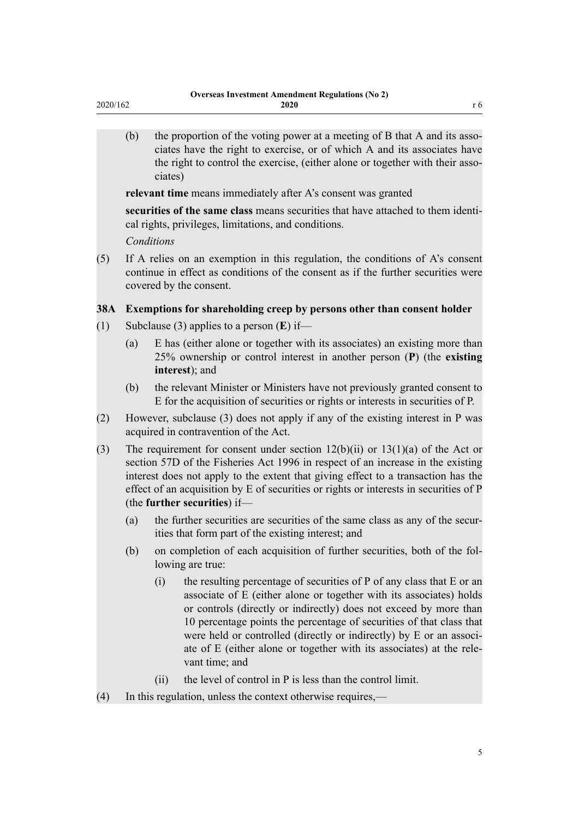<span id="page-4-0"></span>(b) the proportion of the voting power at a meeting of B that A and its associates have the right to exercise, or of which A and its associates have the right to control the exercise, (either alone or together with their associates)

**relevant time** means immediately after A's consent was granted

**securities of the same class** means securities that have attached to them identical rights, privileges, limitations, and conditions.

*Conditions*

(5) If A relies on an exemption in this regulation, the conditions of A's consent continue in effect as conditions of the consent as if the further securities were covered by the consent.

### **38A Exemptions for shareholding creep by persons other than consent holder**

- (1) Subclause (3) applies to a person (**E**) if—
	- (a) E has (either alone or together with its associates) an existing more than 25% ownership or control interest in another person (**P**) (the **existing interest**); and
	- (b) the relevant Minister or Ministers have not previously granted consent to E for the acquisition of securities or rights or interests in securities of P.
- (2) However, subclause (3) does not apply if any of the existing interest in P was acquired in contravention of the Act.
- (3) The requirement for consent under section  $12(b)(ii)$  or  $13(1)(a)$  of the Act or section 57D of the Fisheries Act 1996 in respect of an increase in the existing interest does not apply to the extent that giving effect to a transaction has the effect of an acquisition by E of securities or rights or interests in securities of P (the **further securities**) if—
	- (a) the further securities are securities of the same class as any of the securities that form part of the existing interest; and
	- (b) on completion of each acquisition of further securities, both of the following are true:
		- (i) the resulting percentage of securities of P of any class that E or an associate of E (either alone or together with its associates) holds or controls (directly or indirectly) does not exceed by more than 10 percentage points the percentage of securities of that class that were held or controlled (directly or indirectly) by E or an associate of E (either alone or together with its associates) at the relevant time; and
		- (ii) the level of control in P is less than the control limit.
- (4) In this regulation, unless the context otherwise requires,—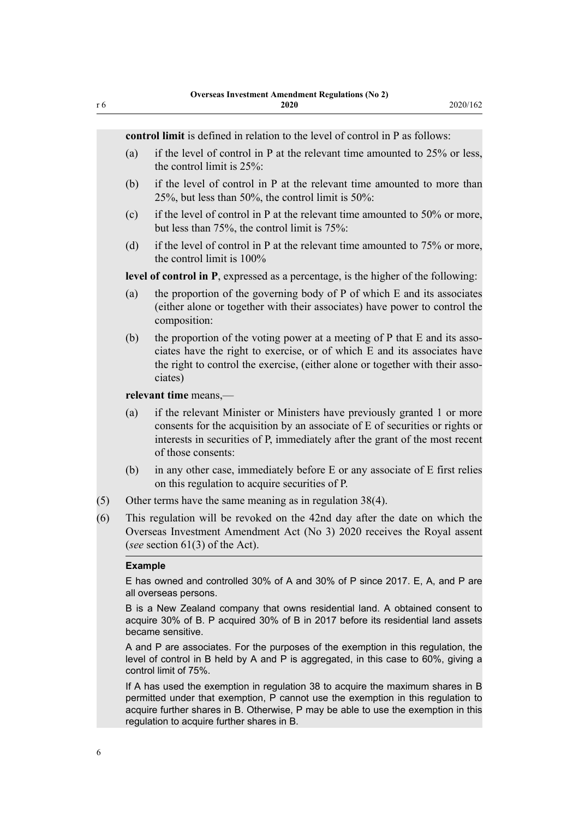**control limit** is defined in relation to the level of control in P as follows:

- (a) if the level of control in P at the relevant time amounted to 25% or less, the control limit is 25%:
- (b) if the level of control in P at the relevant time amounted to more than 25%, but less than 50%, the control limit is 50%:
- (c) if the level of control in P at the relevant time amounted to  $50\%$  or more, but less than 75%, the control limit is 75%:
- (d) if the level of control in P at the relevant time amounted to 75% or more, the control limit is 100%

**level of control in P**, expressed as a percentage, is the higher of the following:

- (a) the proportion of the governing body of P of which E and its associates (either alone or together with their associates) have power to control the composition:
- (b) the proportion of the voting power at a meeting of P that E and its associates have the right to exercise, or of which E and its associates have the right to control the exercise, (either alone or together with their associates)

**relevant time** means,—

- (a) if the relevant Minister or Ministers have previously granted 1 or more consents for the acquisition by an associate of E of securities or rights or interests in securities of P, immediately after the grant of the most recent of those consents:
- (b) in any other case, immediately before E or any associate of E first relies on this regulation to acquire securities of P.
- (5) Other terms have the same meaning as in regulation 38(4).
- (6) This regulation will be revoked on the 42nd day after the date on which the Overseas Investment Amendment Act (No 3) 2020 receives the Royal assent (*see* section 61(3) of the Act).

#### **Example**

E has owned and controlled 30% of A and 30% of P since 2017. E, A, and P are all overseas persons.

B is a New Zealand company that owns residential land. A obtained consent to acquire 30% of B. P acquired 30% of B in 2017 before its residential land assets became sensitive.

A and P are associates. For the purposes of the exemption in this regulation, the level of control in B held by A and P is aggregated, in this case to 60%, giving a control limit of 75%.

If A has used the exemption in regulation 38 to acquire the maximum shares in B permitted under that exemption, P cannot use the exemption in this regulation to acquire further shares in B. Otherwise, P may be able to use the exemption in this regulation to acquire further shares in B.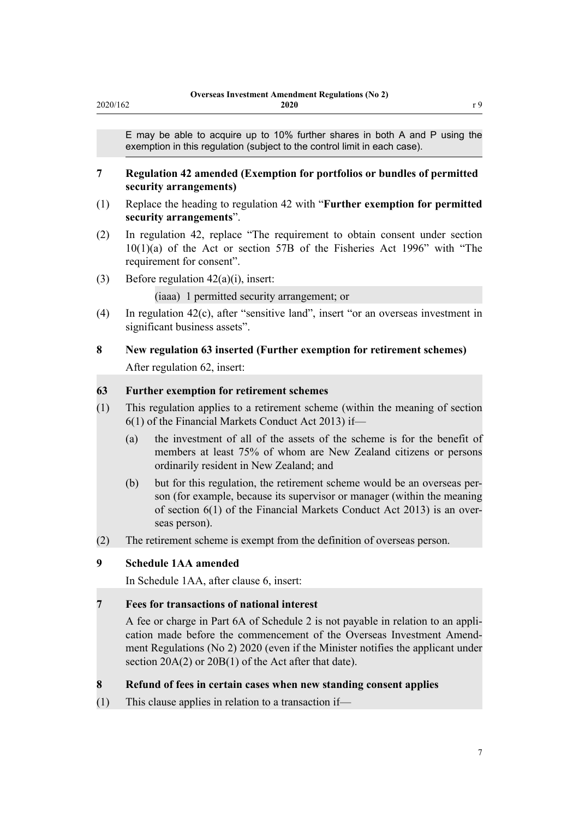<span id="page-6-0"></span>E may be able to acquire up to 10% further shares in both A and P using the exemption in this regulation (subject to the control limit in each case).

#### **7 Regulation 42 amended (Exemption for portfolios or bundles of permitted security arrangements)**

- (1) Replace the heading to [regulation 42](http://legislation.govt.nz/pdflink.aspx?id=LMS109736) with "**Further exemption for permitted security arrangements**".
- (2) In [regulation 42,](http://legislation.govt.nz/pdflink.aspx?id=LMS109736) replace "The requirement to obtain consent under section 10(1)(a) of the Act or section 57B of the Fisheries Act 1996" with "The requirement for consent".
- (3) Before [regulation 42\(a\)\(i\),](http://legislation.govt.nz/pdflink.aspx?id=LMS109736) insert:

(iaaa) 1 permitted security arrangement; or

(4) In [regulation 42\(c\),](http://legislation.govt.nz/pdflink.aspx?id=LMS109736) after "sensitive land", insert "or an overseas investment in significant business assets".

# **8 New regulation 63 inserted (Further exemption for retirement schemes)** After [regulation 62](http://legislation.govt.nz/pdflink.aspx?id=DLM7097919), insert:

#### **63 Further exemption for retirement schemes**

- (1) This regulation applies to a retirement scheme (within the meaning of section 6(1) of the Financial Markets Conduct Act 2013) if—
	- (a) the investment of all of the assets of the scheme is for the benefit of members at least 75% of whom are New Zealand citizens or persons ordinarily resident in New Zealand; and
	- (b) but for this regulation, the retirement scheme would be an overseas person (for example, because its supervisor or manager (within the meaning of section 6(1) of the Financial Markets Conduct Act 2013) is an overseas person).
- (2) The retirement scheme is exempt from the definition of overseas person.

## **9 Schedule 1AA amended**

In Schedule 1AA, after [clause 6](http://legislation.govt.nz/pdflink.aspx?id=LMS358142), insert:

#### **7 Fees for transactions of national interest**

A fee or charge in Part 6A of Schedule 2 is not payable in relation to an application made before the commencement of the Overseas Investment Amendment Regulations (No 2) 2020 (even if the Minister notifies the applicant under section 20A(2) or 20B(1) of the Act after that date).

#### **8 Refund of fees in certain cases when new standing consent applies**

(1) This clause applies in relation to a transaction if—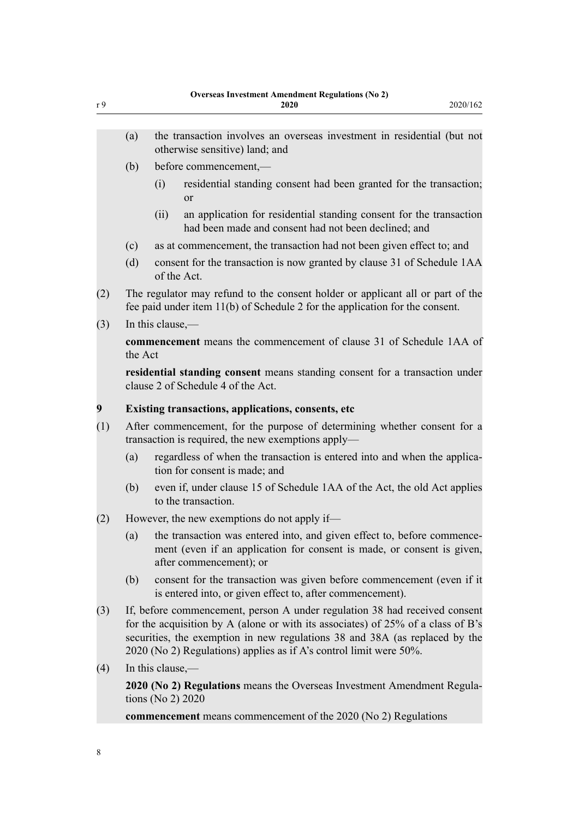- (a) the transaction involves an overseas investment in residential (but not otherwise sensitive) land; and
- (b) before commencement,—
	- (i) residential standing consent had been granted for the transaction; or
	- (ii) an application for residential standing consent for the transaction had been made and consent had not been declined; and
- (c) as at commencement, the transaction had not been given effect to; and
- (d) consent for the transaction is now granted by clause 31 of Schedule 1AA of the Act.
- (2) The regulator may refund to the consent holder or applicant all or part of the fee paid under item 11(b) of Schedule 2 for the application for the consent.
- (3) In this clause,—

**commencement** means the commencement of clause 31 of Schedule 1AA of the Act

**residential standing consent** means standing consent for a transaction under clause 2 of Schedule 4 of the Act.

#### **9 Existing transactions, applications, consents, etc**

- (1) After commencement, for the purpose of determining whether consent for a transaction is required, the new exemptions apply—
	- (a) regardless of when the transaction is entered into and when the application for consent is made; and
	- (b) even if, under clause 15 of Schedule 1AA of the Act, the old Act applies to the transaction.
- (2) However, the new exemptions do not apply if—
	- (a) the transaction was entered into, and given effect to, before commencement (even if an application for consent is made, or consent is given, after commencement); or
	- (b) consent for the transaction was given before commencement (even if it is entered into, or given effect to, after commencement).
- (3) If, before commencement, person A under regulation 38 had received consent for the acquisition by A (alone or with its associates) of 25% of a class of B's securities, the exemption in new regulations 38 and 38A (as replaced by the 2020 (No 2) Regulations) applies as if A's control limit were 50%.
- (4) In this clause,—

**2020 (No 2) Regulations** means the Overseas Investment Amendment Regulations (No 2) 2020

**commencement** means commencement of the 2020 (No 2) Regulations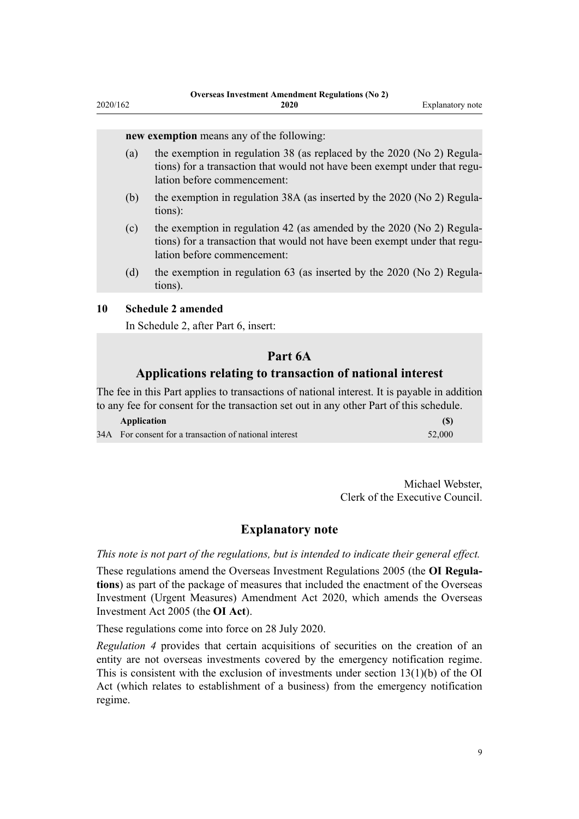#### <span id="page-8-0"></span>**new exemption** means any of the following:

- (a) the exemption in regulation 38 (as replaced by the 2020 (No 2) Regulations) for a transaction that would not have been exempt under that regulation before commencement:
- (b) the exemption in regulation 38A (as inserted by the 2020 (No 2) Regulations):
- (c) the exemption in regulation 42 (as amended by the 2020 (No 2) Regulations) for a transaction that would not have been exempt under that regulation before commencement:
- (d) the exemption in regulation 63 (as inserted by the 2020 (No 2) Regulations).

#### **10 Schedule 2 amended**

In Schedule 2, after [Part 6](http://legislation.govt.nz/pdflink.aspx?id=LMS110454), insert:

#### **Part 6A**

#### **Applications relating to transaction of national interest**

The fee in this Part applies to transactions of national interest. It is payable in addition to any fee for consent for the transaction set out in any other Part of this schedule.

| Application                                            | (S)    |
|--------------------------------------------------------|--------|
| 34A For consent for a transaction of national interest | 52,000 |

Michael Webster, Clerk of the Executive Council.

#### **Explanatory note**

*This note is not part of the regulations, but is intended to indicate their general effect.*

These regulations amend the [Overseas Investment Regulations 2005](http://legislation.govt.nz/pdflink.aspx?id=DLM341365) (the **OI Regulations**) as part of the package of measures that included the enactment of the [Overseas](http://legislation.govt.nz/pdflink.aspx?id=LMS342267) [Investment \(Urgent Measures\) Amendment Act 2020](http://legislation.govt.nz/pdflink.aspx?id=LMS342267), which amends the [Overseas](http://legislation.govt.nz/pdflink.aspx?id=DLM356880) [Investment Act 2005](http://legislation.govt.nz/pdflink.aspx?id=DLM356880) (the **OI Act**).

These regulations come into force on 28 July 2020.

*[Regulation 4](#page-1-0)* provides that certain acquisitions of securities on the creation of an entity are not overseas investments covered by the emergency notification regime. This is consistent with the exclusion of investments under section  $13(1)(b)$  of the OI Act (which relates to establishment of a business) from the emergency notification regime.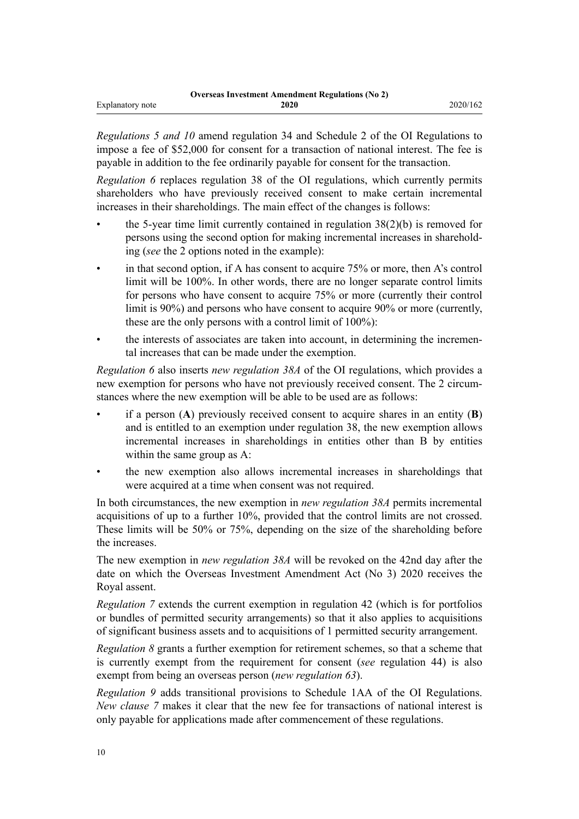*Regulations [5](#page-1-0) and [10](#page-8-0)* amend [regulation 34](http://legislation.govt.nz/pdflink.aspx?id=DLM341939) and [Schedule 2](http://legislation.govt.nz/pdflink.aspx?id=DLM341960) of the OI Regulations to impose a fee of \$52,000 for consent for a transaction of national interest. The fee is payable in addition to the fee ordinarily payable for consent for the transaction.

*Regulation [6](#page-2-0)* replaces [regulation 38](http://legislation.govt.nz/pdflink.aspx?id=LMS109658) of the OI regulations, which currently permits shareholders who have previously received consent to make certain incremental increases in their shareholdings. The main effect of the changes is follows:

- the 5-year time limit currently contained in regulation  $38(2)(b)$  is removed for persons using the second option for making incremental increases in shareholding (*see* the 2 options noted in the example):
- in that second option, if A has consent to acquire  $75\%$  or more, then A's control limit will be 100%. In other words, there are no longer separate control limits for persons who have consent to acquire 75% or more (currently their control limit is 90%) and persons who have consent to acquire 90% or more (currently, these are the only persons with a control limit of 100%):
- the interests of associates are taken into account, in determining the incremental increases that can be made under the exemption.

*Regulation [6](http://legislation.govt.nz/pdflink.aspx?id=LMS353125)* also inserts *new regulation 38A* of the OI regulations, which provides a new exemption for persons who have not previously received consent. The 2 circumstances where the new exemption will be able to be used are as follows:

- if a person (**A**) previously received consent to acquire shares in an entity (**B**) and is entitled to an exemption under [regulation 38,](http://legislation.govt.nz/pdflink.aspx?id=LMS109658) the new exemption allows incremental increases in shareholdings in entities other than B by entities within the same group as A:
- the new exemption also allows incremental increases in shareholdings that were acquired at a time when consent was not required.

In both circumstances, the new exemption in *new regulation 38A* permits incremental acquisitions of up to a further 10%, provided that the control limits are not crossed. These limits will be 50% or 75%, depending on the size of the shareholding before the increases.

The new exemption in *new regulation 38A* will be revoked on the 42nd day after the date on which the Overseas Investment Amendment Act (No 3) 2020 receives the Royal assent.

*Regulation [7](#page-6-0)* extends the current exemption in [regulation 42](http://legislation.govt.nz/pdflink.aspx?id=LMS109736) (which is for portfolios or bundles of permitted security arrangements) so that it also applies to acquisitions of significant business assets and to acquisitions of 1 permitted security arrangement.

*Regulation [8](#page-6-0)* grants a further exemption for retirement schemes, so that a scheme that is currently exempt from the requirement for consent (*see* [regulation 44\)](http://legislation.govt.nz/pdflink.aspx?id=LMS109738) is also exempt from being an overseas person (*new regulation 63*).

*Regulation [9](#page-6-0)* adds transitional provisions to [Schedule 1AA](http://legislation.govt.nz/pdflink.aspx?id=DLM6898629) of the OI Regulations. *New clause 7* makes it clear that the new fee for transactions of national interest is only payable for applications made after commencement of these regulations.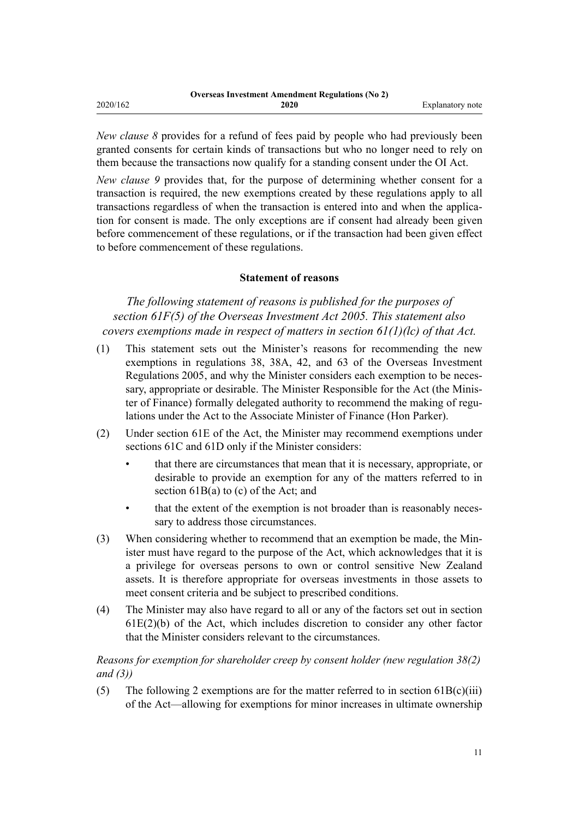|          | <b>Overseas Investment Amendment Regulations (No 2)</b> |                  |
|----------|---------------------------------------------------------|------------------|
| 2020/162 | 2020                                                    | Explanatory note |

*New clause 8* provides for a refund of fees paid by people who had previously been granted consents for certain kinds of transactions but who no longer need to rely on them because the transactions now qualify for a standing consent under the OI Act.

*New clause 9* provides that, for the purpose of determining whether consent for a transaction is required, the new exemptions created by these regulations apply to all transactions regardless of when the transaction is entered into and when the application for consent is made. The only exceptions are if consent had already been given before commencement of these regulations, or if the transaction had been given effect to before commencement of these regulations.

#### **Statement of reasons**

*The following statement of reasons is published for the purposes of section 61F(5) of the Overseas Investment Act 2005. This statement also covers exemptions made in respect of matters in section 61(1)(lc) of that Act.*

- (1) This statement sets out the Minister's reasons for recommending the new exemptions in [regulations 38](http://legislation.govt.nz/pdflink.aspx?id=LMS109658), 38A, [42,](http://legislation.govt.nz/pdflink.aspx?id=LMS109736) and 63 of the [Overseas Investment](http://legislation.govt.nz/pdflink.aspx?id=DLM341365) [Regulations 2005](http://legislation.govt.nz/pdflink.aspx?id=DLM341365), and why the Minister considers each exemption to be necessary, appropriate or desirable. The Minister Responsible for the Act (the Minister of Finance) formally delegated authority to recommend the making of regulations under the Act to the Associate Minister of Finance (Hon Parker).
- (2) Under [section 61E](http://legislation.govt.nz/pdflink.aspx?id=LMS112020) of the Act, the Minister may recommend exemptions under [sections 61C](http://legislation.govt.nz/pdflink.aspx?id=LMS112018) and [61D](http://legislation.govt.nz/pdflink.aspx?id=LMS112019) only if the Minister considers:
	- that there are circumstances that mean that it is necessary, appropriate, or desirable to provide an exemption for any of the matters referred to in [section 61B\(a\) to \(c\)](http://legislation.govt.nz/pdflink.aspx?id=LMS111955) of the Act; and
	- that the extent of the exemption is not broader than is reasonably necessary to address those circumstances.
- (3) When considering whether to recommend that an exemption be made, the Minister must have regard to the purpose of the Act, which acknowledges that it is a privilege for overseas persons to own or control sensitive New Zealand assets. It is therefore appropriate for overseas investments in those assets to meet consent criteria and be subject to prescribed conditions.
- (4) The Minister may also have regard to all or any of the factors set out in [section](http://legislation.govt.nz/pdflink.aspx?id=LMS112020) [61E\(2\)\(b\)](http://legislation.govt.nz/pdflink.aspx?id=LMS112020) of the Act, which includes discretion to consider any other factor that the Minister considers relevant to the circumstances.

### *Reasons for exemption for shareholder creep by consent holder (new regulation 38(2) and (3))*

(5) The following 2 exemptions are for the matter referred to in section  $61B(c)(iii)$ of the Act—allowing for exemptions for minor increases in ultimate ownership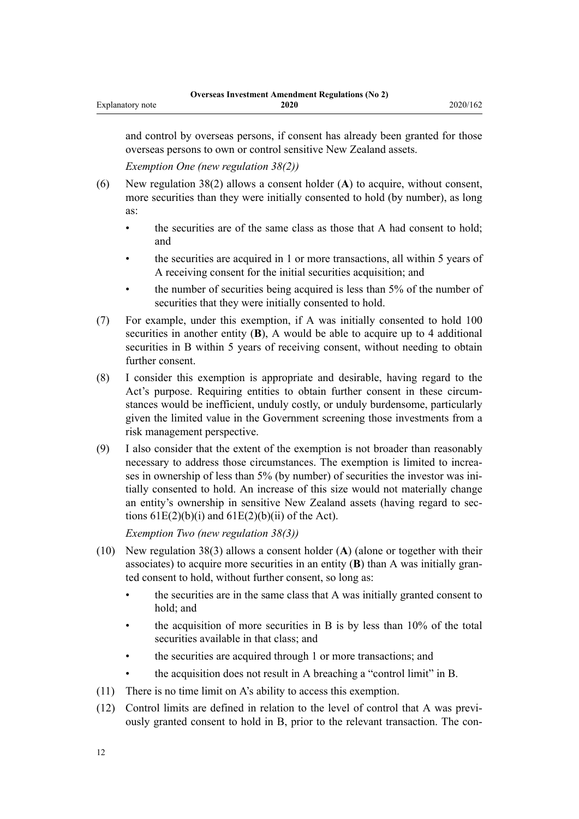and control by overseas persons, if consent has already been granted for those overseas persons to own or control sensitive New Zealand assets.

*Exemption One (new regulation 38(2))*

- (6) New regulation 38(2) allows a consent holder (**A**) to acquire, without consent, more securities than they were initially consented to hold (by number), as long as:
	- the securities are of the same class as those that A had consent to hold; and
	- the securities are acquired in 1 or more transactions, all within 5 years of A receiving consent for the initial securities acquisition; and
	- the number of securities being acquired is less than 5% of the number of securities that they were initially consented to hold.
- (7) For example, under this exemption, if A was initially consented to hold 100 securities in another entity (**B**), A would be able to acquire up to 4 additional securities in B within 5 years of receiving consent, without needing to obtain further consent.
- (8) I consider this exemption is appropriate and desirable, having regard to the Act's purpose. Requiring entities to obtain further consent in these circumstances would be inefficient, unduly costly, or unduly burdensome, particularly given the limited value in the Government screening those investments from a risk management perspective.
- (9) I also consider that the extent of the exemption is not broader than reasonably necessary to address those circumstances. The exemption is limited to increases in ownership of less than 5% (by number) of securities the investor was initially consented to hold. An increase of this size would not materially change an entity's ownership in sensitive New Zealand assets (having regard to [sec](http://legislation.govt.nz/pdflink.aspx?id=LMS112020)tions  $61E(2)(b)(i)$  and  $61E(2)(b)(ii)$  of the Act).

*Exemption Two (new regulation 38(3))*

- (10) New regulation 38(3) allows a consent holder (**A**) (alone or together with their associates) to acquire more securities in an entity (**B**) than A was initially granted consent to hold, without further consent, so long as:
	- the securities are in the same class that A was initially granted consent to hold; and
	- the acquisition of more securities in B is by less than  $10\%$  of the total securities available in that class; and
	- the securities are acquired through 1 or more transactions; and
	- the acquisition does not result in A breaching a "control limit" in B.
- (11) There is no time limit on A's ability to access this exemption.
- (12) Control limits are defined in relation to the level of control that A was previously granted consent to hold in B, prior to the relevant transaction. The con-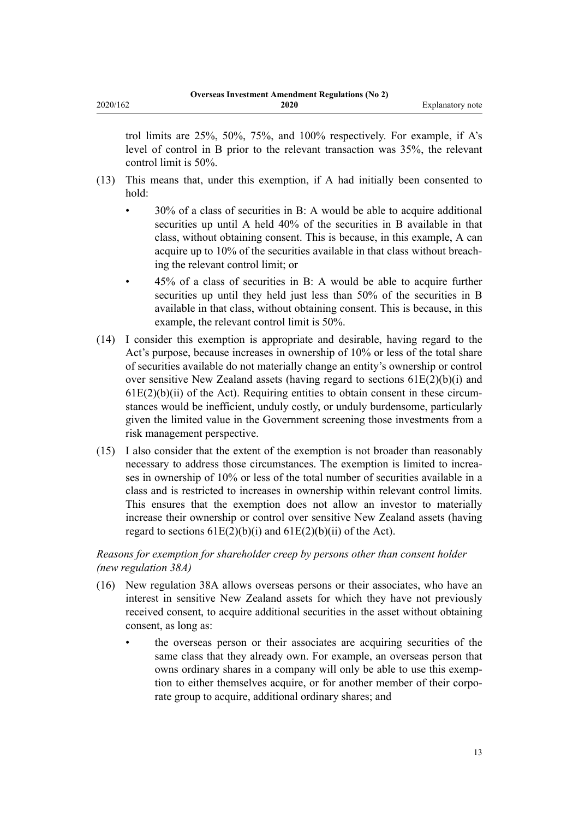trol limits are 25%, 50%, 75%, and 100% respectively. For example, if A's level of control in B prior to the relevant transaction was 35%, the relevant control limit is 50%.

- (13) This means that, under this exemption, if A had initially been consented to hold:
	- 30% of a class of securities in B: A would be able to acquire additional securities up until A held 40% of the securities in B available in that class, without obtaining consent. This is because, in this example, A can acquire up to 10% of the securities available in that class without breaching the relevant control limit; or
	- 45% of a class of securities in B: A would be able to acquire further securities up until they held just less than 50% of the securities in B available in that class, without obtaining consent. This is because, in this example, the relevant control limit is 50%.
- (14) I consider this exemption is appropriate and desirable, having regard to the Act's purpose, because increases in ownership of 10% or less of the total share of securities available do not materially change an entity's ownership or control over sensitive New Zealand assets (having regard to sections  $61E(2)(b)(i)$  and  $61E(2)(b)(ii)$  of the Act). Requiring entities to obtain consent in these circumstances would be inefficient, unduly costly, or unduly burdensome, particularly given the limited value in the Government screening those investments from a risk management perspective.
- (15) I also consider that the extent of the exemption is not broader than reasonably necessary to address those circumstances. The exemption is limited to increases in ownership of 10% or less of the total number of securities available in a class and is restricted to increases in ownership within relevant control limits. This ensures that the exemption does not allow an investor to materially increase their ownership or control over sensitive New Zealand assets (having regard to sections  $61E(2)(b)(i)$  and  $61E(2)(b)(ii)$  of the Act).

## *Reasons for exemption for shareholder creep by persons other than consent holder (new regulation 38A)*

- (16) New regulation 38A allows overseas persons or their associates, who have an interest in sensitive New Zealand assets for which they have not previously received consent, to acquire additional securities in the asset without obtaining consent, as long as:
	- the overseas person or their associates are acquiring securities of the same class that they already own. For example, an overseas person that owns ordinary shares in a company will only be able to use this exemption to either themselves acquire, or for another member of their corporate group to acquire, additional ordinary shares; and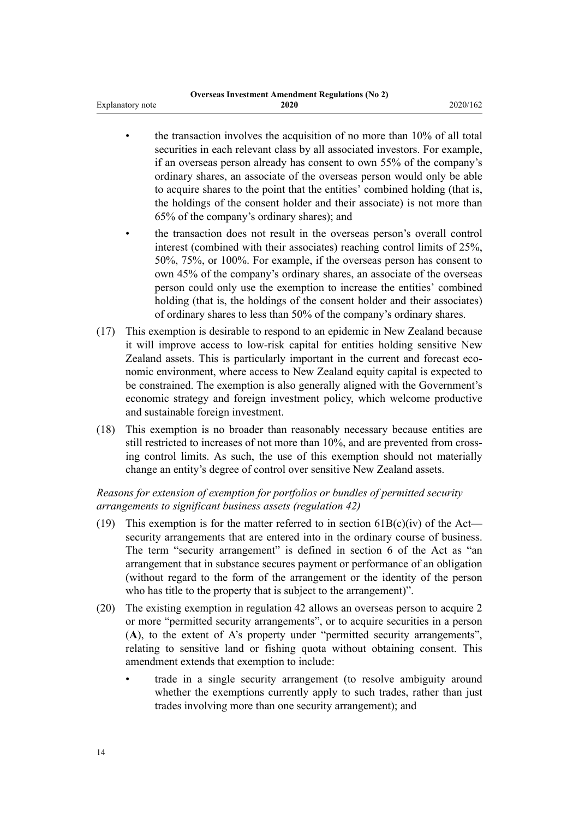|                         | <b>Overseas Investment Amendment Regulations (No 2)</b> |          |
|-------------------------|---------------------------------------------------------|----------|
| <b>Explanatory note</b> | 2020                                                    | 2020/162 |

- the transaction involves the acquisition of no more than 10% of all total securities in each relevant class by all associated investors. For example, if an overseas person already has consent to own 55% of the company's ordinary shares, an associate of the overseas person would only be able to acquire shares to the point that the entities' combined holding (that is, the holdings of the consent holder and their associate) is not more than 65% of the company's ordinary shares); and
- the transaction does not result in the overseas person's overall control interest (combined with their associates) reaching control limits of 25%, 50%, 75%, or 100%. For example, if the overseas person has consent to own 45% of the company's ordinary shares, an associate of the overseas person could only use the exemption to increase the entities' combined holding (that is, the holdings of the consent holder and their associates) of ordinary shares to less than 50% of the company's ordinary shares.
- (17) This exemption is desirable to respond to an epidemic in New Zealand because it will improve access to low-risk capital for entities holding sensitive New Zealand assets. This is particularly important in the current and forecast economic environment, where access to New Zealand equity capital is expected to be constrained. The exemption is also generally aligned with the Government's economic strategy and foreign investment policy, which welcome productive and sustainable foreign investment.
- (18) This exemption is no broader than reasonably necessary because entities are still restricted to increases of not more than 10%, and are prevented from crossing control limits. As such, the use of this exemption should not materially change an entity's degree of control over sensitive New Zealand assets.

### *Reasons for extension of exemption for portfolios or bundles of permitted security arrangements to significant business assets (regulation 42)*

- (19) This exemption is for the matter referred to in section  $61B(c)(iv)$  of the Act security arrangements that are entered into in the ordinary course of business. The term "security arrangement" is defined in [section 6](http://legislation.govt.nz/pdflink.aspx?id=LMS111977) of the Act as "an arrangement that in substance secures payment or performance of an obligation (without regard to the form of the arrangement or the identity of the person who has title to the property that is subject to the arrangement)".
- (20) The existing exemption in [regulation 42](http://legislation.govt.nz/pdflink.aspx?id=LMS109736) allows an overseas person to acquire 2 or more "permitted security arrangements", or to acquire securities in a person (**A**), to the extent of A's property under "permitted security arrangements", relating to sensitive land or fishing quota without obtaining consent. This amendment extends that exemption to include:
	- trade in a single security arrangement (to resolve ambiguity around whether the exemptions currently apply to such trades, rather than just trades involving more than one security arrangement); and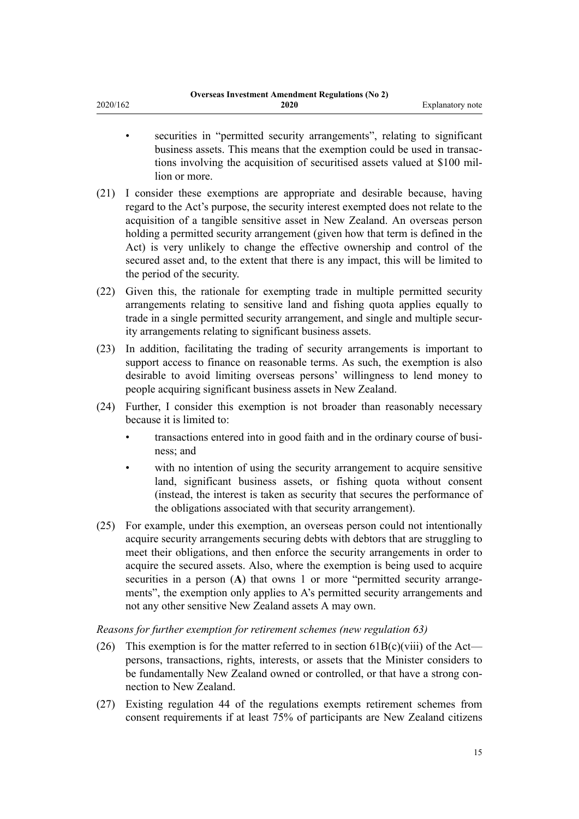| <b>Overseas Investment Amendment Regulations (No 2)</b> |  |
|---------------------------------------------------------|--|
| 2020/162<br>2020<br>Explanatory note                    |  |

- securities in "permitted security arrangements", relating to significant business assets. This means that the exemption could be used in transactions involving the acquisition of securitised assets valued at \$100 million or more.
- (21) I consider these exemptions are appropriate and desirable because, having regard to the Act's purpose, the security interest exempted does not relate to the acquisition of a tangible sensitive asset in New Zealand. An overseas person holding a permitted security arrangement (given how that term is defined in the Act) is very unlikely to change the effective ownership and control of the secured asset and, to the extent that there is any impact, this will be limited to the period of the security.
- (22) Given this, the rationale for exempting trade in multiple permitted security arrangements relating to sensitive land and fishing quota applies equally to trade in a single permitted security arrangement, and single and multiple security arrangements relating to significant business assets.
- (23) In addition, facilitating the trading of security arrangements is important to support access to finance on reasonable terms. As such, the exemption is also desirable to avoid limiting overseas persons' willingness to lend money to people acquiring significant business assets in New Zealand.
- (24) Further, I consider this exemption is not broader than reasonably necessary because it is limited to:
	- transactions entered into in good faith and in the ordinary course of business; and
	- with no intention of using the security arrangement to acquire sensitive land, significant business assets, or fishing quota without consent (instead, the interest is taken as security that secures the performance of the obligations associated with that security arrangement).
- (25) For example, under this exemption, an overseas person could not intentionally acquire security arrangements securing debts with debtors that are struggling to meet their obligations, and then enforce the security arrangements in order to acquire the secured assets. Also, where the exemption is being used to acquire securities in a person (A) that owns 1 or more "permitted security arrangements", the exemption only applies to A's permitted security arrangements and not any other sensitive New Zealand assets A may own.

#### *Reasons for further exemption for retirement schemes (new regulation 63)*

- (26) This exemption is for the matter referred to in section  $61B(c)(viii)$  of the Act persons, transactions, rights, interests, or assets that the Minister considers to be fundamentally New Zealand owned or controlled, or that have a strong connection to New Zealand.
- (27) Existing [regulation 44](http://legislation.govt.nz/pdflink.aspx?id=LMS109738) of the regulations exempts retirement schemes from consent requirements if at least 75% of participants are New Zealand citizens